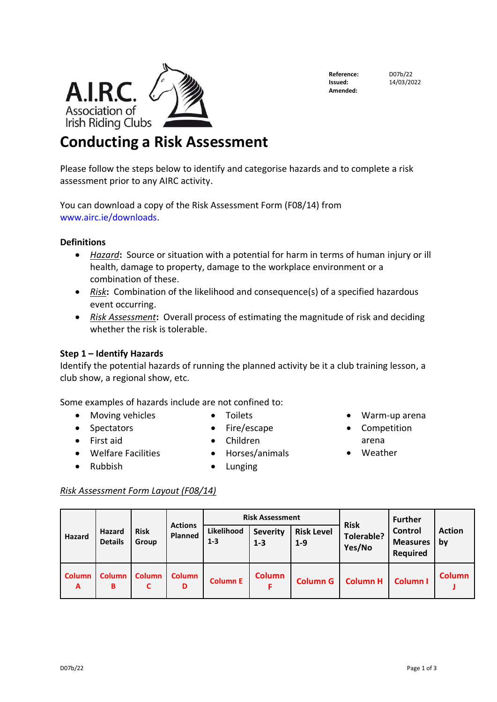## **Reference:** D07b/22<br>**Issued:** 14/03/20 **Amended:**

**Issued:** 14/03/2022

# **Conducting a Risk Assessment**

Please follow the steps below to identify and categorise hazards and to complete a risk assessment prior to any AIRC activity.

You can download a copy of the Risk Assessment Form (F08/14) from [www.airc.ie/downloads.](http://www.airc.ie/downloads)

### **Definitions**

A.I.R.C.

- *Hazard***:** Source or situation with a potential for harm in terms of human injury or ill health, damage to property, damage to the workplace environment or a combination of these.
- *Risk***:** Combination of the likelihood and consequence(s) of a specified hazardous event occurring.
- *Risk Assessment***:** Overall process of estimating the magnitude of risk and deciding whether the risk is tolerable.

#### **Step 1 – Identify Hazards**

Identify the potential hazards of running the planned activity be it a club training lesson, a club show, a regional show, etc.

> • Fire/escape • Children

Some examples of hazards include are not confined to:

- Moving vehicles
- Spectators
- First aid
- Welfare Facilities
- Rubbish

• Horses/animals • Lunging

• Toilets

#### *Risk Assessment Form Layout (F08/14)*

| <b>Hazard</b> | Hazard<br><b>Details</b> | <b>Risk</b><br>Group | <b>Actions</b><br>Planned | <b>Risk Assessment</b> |                            |                              | <b>Risk</b>                 | <b>Further</b>                                |                     |
|---------------|--------------------------|----------------------|---------------------------|------------------------|----------------------------|------------------------------|-----------------------------|-----------------------------------------------|---------------------|
|               |                          |                      |                           | Likelihood<br>$1 - 3$  | <b>Severity</b><br>$1 - 3$ | <b>Risk Level</b><br>$1 - 9$ | <b>Tolerable?</b><br>Yes/No | Control<br><b>Measures</b><br><b>Required</b> | <b>Action</b><br>bv |
| Column<br>A   | <b>Column</b><br>в       | <b>Column</b>        | <b>Column</b><br>D        | <b>Column E</b>        | <b>Column</b>              | <b>Column G</b>              | <b>Column H</b>             | <b>Column I</b>                               | <b>Column</b>       |

- Warm-up arena
- Competition arena
- Weather

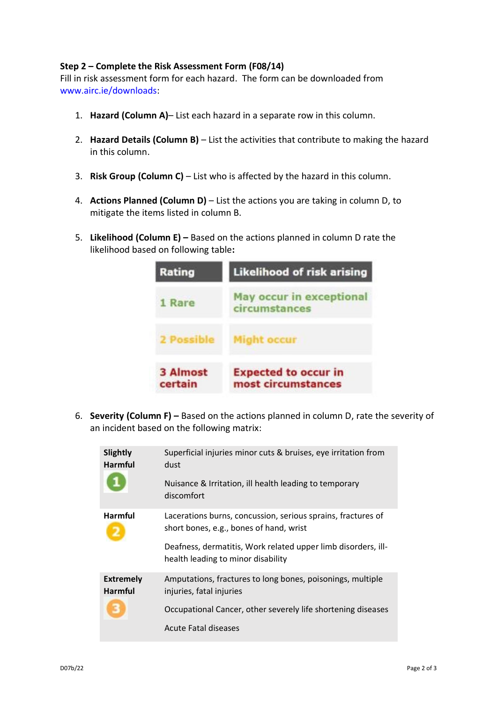#### **Step 2 – Complete the Risk Assessment Form (F08/14)**

Fill in risk assessment form for each hazard. The form can be downloaded from [www.airc.ie/downloads:](http://www.airc.ie/downloads)

- 1. **Hazard (Column A)** List each hazard in a separate row in this column.
- 2. **Hazard Details (Column B)**  List the activities that contribute to making the hazard in this column.
- 3. **Risk Group (Column C)**  List who is affected by the hazard in this column.
- 4. **Actions Planned (Column D)**  List the actions you are taking in column D, to mitigate the items listed in column B.
- 5. **Likelihood (Column E) –** Based on the actions planned in column D rate the likelihood based on following table**:**



6. **Severity (Column F) –** Based on the actions planned in column D, rate the severity of an incident based on the following matrix:

| Slightly<br><b>Harmful</b>              | Superficial injuries minor cuts & bruises, eye irritation from<br>dust<br>Nuisance & Irritation, ill health leading to temporary<br>discomfort                                                                 |
|-----------------------------------------|----------------------------------------------------------------------------------------------------------------------------------------------------------------------------------------------------------------|
| <b>Harmful</b>                          | Lacerations burns, concussion, serious sprains, fractures of<br>short bones, e.g., bones of hand, wrist<br>Deafness, dermatitis, Work related upper limb disorders, ill-<br>health leading to minor disability |
| <b>Extremely</b><br><b>Harmful</b><br>з | Amputations, fractures to long bones, poisonings, multiple<br>injuries, fatal injuries<br>Occupational Cancer, other severely life shortening diseases<br>Acute Fatal diseases                                 |